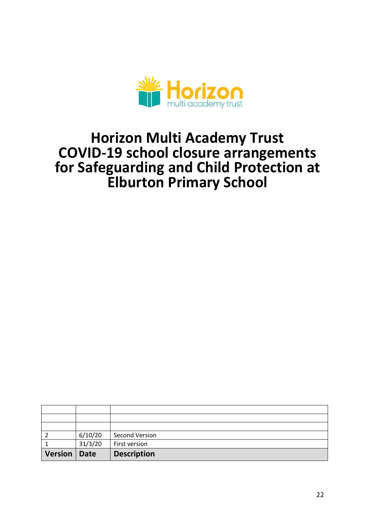

# **Horizon Multi Academy Trust COVID-19 school closure arrangements for Safeguarding and Child Protection at Elburton Primary School**

| Version   Date |         | <b>Description</b> |
|----------------|---------|--------------------|
|                | 31/3/20 | First version      |
|                | 6/10/20 | Second Version     |
|                |         |                    |
|                |         |                    |
|                |         |                    |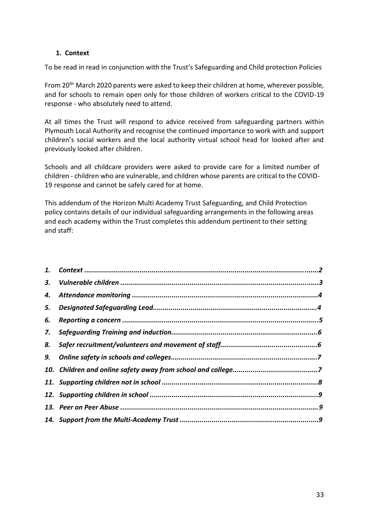# **1. Context**

To be read in read in conjunction with the Trust's Safeguarding and Child protection Policies

From 20<sup>th</sup> March 2020 parents were asked to keep their children at home, wherever possible, and for schools to remain open only for those children of workers critical to the COVID-19 response - who absolutely need to attend.

At all times the Trust will respond to advice received from safeguarding partners within Plymouth Local Authority and recognise the continued importance to work with and support children's social workers and the local authority virtual school head for looked after and previously looked after children.

Schools and all childcare providers were asked to provide care for a limited number of children - children who are vulnerable, and children whose parents are critical to the COVID-19 response and cannot be safely cared for at home.

This addendum of the Horizon Multi Academy Trust Safeguarding, and Child Protection policy contains details of our individual safeguarding arrangements in the following areas and each academy within the Trust completes this addendum pertinent to their setting and staff:

| 3. |  |
|----|--|
| 4. |  |
| 5. |  |
| 6. |  |
|    |  |
| 8. |  |
|    |  |
|    |  |
|    |  |
|    |  |
|    |  |
|    |  |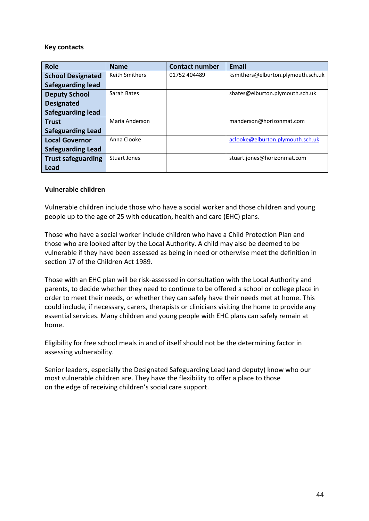## **Key contacts**

| <b>Role</b>               | <b>Name</b>           | <b>Contact number</b> | <b>Email</b>                       |
|---------------------------|-----------------------|-----------------------|------------------------------------|
| <b>School Designated</b>  | <b>Keith Smithers</b> | 01752 404489          | ksmithers@elburton.plymouth.sch.uk |
| <b>Safeguarding lead</b>  |                       |                       |                                    |
| <b>Deputy School</b>      | Sarah Bates           |                       | sbates@elburton.plymouth.sch.uk    |
| <b>Designated</b>         |                       |                       |                                    |
| <b>Safeguarding lead</b>  |                       |                       |                                    |
| <b>Trust</b>              | Maria Anderson        |                       | manderson@horizonmat.com           |
| <b>Safeguarding Lead</b>  |                       |                       |                                    |
| <b>Local Governor</b>     | Anna Clooke           |                       | aclooke@elburton.plymouth.sch.uk   |
| <b>Safeguarding Lead</b>  |                       |                       |                                    |
| <b>Trust safeguarding</b> | Stuart Jones          |                       | stuart.jones@horizonmat.com        |
| Lead                      |                       |                       |                                    |

## **Vulnerable children**

Vulnerable children include those who have a social worker and those children and young people up to the age of 25 with education, health and care (EHC) plans.

Those who have a social worker include children who have a Child Protection Plan and those who are looked after by the Local Authority. A child may also be deemed to be vulnerable if they have been assessed as being in need or otherwise meet the definition in section 17 of the Children Act 1989.

Those with an EHC plan will be risk-assessed in consultation with the Local Authority and parents, to decide whether they need to continue to be offered a school or college place in order to meet their needs, or whether they can safely have their needs met at home. This could include, if necessary, carers, therapists or clinicians visiting the home to provide any essential services. Many children and young people with EHC plans can safely remain at home.

Eligibility for free school meals in and of itself should not be the determining factor in assessing vulnerability.

Senior leaders, especially the Designated Safeguarding Lead (and deputy) know who our most vulnerable children are. They have the flexibility to offer a place to those on the edge of receiving children's social care support.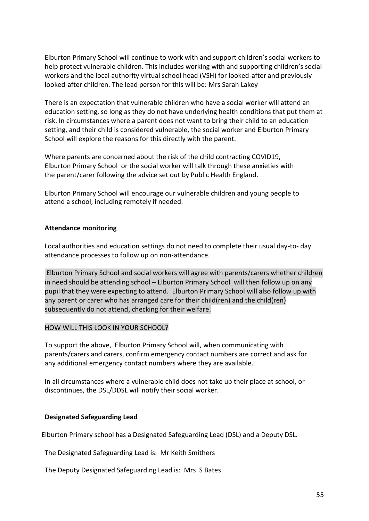Elburton Primary School will continue to work with and support children's social workers to help protect vulnerable children. This includes working with and supporting children's social workers and the local authority virtual school head (VSH) for looked-after and previously looked-after children. The lead person for this will be: Mrs Sarah Lakey

There is an expectation that vulnerable children who have a social worker will attend an education setting, so long as they do not have underlying health conditions that put them at risk. In circumstances where a parent does not want to bring their child to an education setting, and their child is considered vulnerable, the social worker and Elburton Primary School will explore the reasons for this directly with the parent.

Where parents are concerned about the risk of the child contracting COVID19, Elburton Primary School or the social worker will talk through these anxieties with the parent/carer following the advice set out by Public Health England.

Elburton Primary School will encourage our vulnerable children and young people to attend a school, including remotely if needed.

## **Attendance monitoring**

Local authorities and education settings do not need to complete their usual day-to- day attendance processes to follow up on non-attendance.

Elburton Primary School and social workers will agree with parents/carers whether children in need should be attending school – Elburton Primary School will then follow up on any pupil that they were expecting to attend. Elburton Primary School will also follow up with any parent or carer who has arranged care for their child(ren) and the child(ren) subsequently do not attend, checking for their welfare.

## HOW WILL THIS LOOK IN YOUR SCHOOL?

To support the above, Elburton Primary School will, when communicating with parents/carers and carers, confirm emergency contact numbers are correct and ask for any additional emergency contact numbers where they are available.

In all circumstances where a vulnerable child does not take up their place at school, or discontinues, the DSL/DDSL will notify their social worker.

## **Designated Safeguarding Lead**

Elburton Primary school has a Designated Safeguarding Lead (DSL) and a Deputy DSL.

The Designated Safeguarding Lead is: Mr Keith Smithers

The Deputy Designated Safeguarding Lead is: Mrs S Bates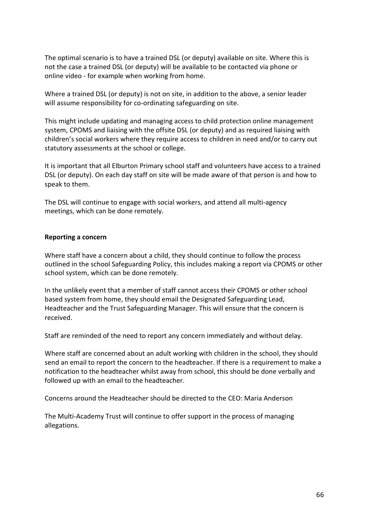The optimal scenario is to have a trained DSL (or deputy) available on site. Where this is not the case a trained DSL (or deputy) will be available to be contacted via phone or online video - for example when working from home.

Where a trained DSL (or deputy) is not on site, in addition to the above, a senior leader will assume responsibility for co-ordinating safeguarding on site.

This might include updating and managing access to child protection online management system, CPOMS and liaising with the offsite DSL (or deputy) and as required liaising with children's social workers where they require access to children in need and/or to carry out statutory assessments at the school or college.

It is important that all Elburton Primary school staff and volunteers have access to a trained DSL (or deputy). On each day staff on site will be made aware of that person is and how to speak to them.

The DSL will continue to engage with social workers, and attend all multi-agency meetings, which can be done remotely.

## **Reporting a concern**

Where staff have a concern about a child, they should continue to follow the process outlined in the school Safeguarding Policy, this includes making a report via CPOMS or other school system, which can be done remotely.

In the unlikely event that a member of staff cannot access their CPOMS or other school based system from home, they should email the Designated Safeguarding Lead, Headteacher and the Trust Safeguarding Manager. This will ensure that the concern is received.

Staff are reminded of the need to report any concern immediately and without delay.

Where staff are concerned about an adult working with children in the school, they should send an email to report the concern to the headteacher. If there is a requirement to make a notification to the headteacher whilst away from school, this should be done verbally and followed up with an email to the headteacher.

Concerns around the Headteacher should be directed to the CEO: Maria Anderson

The Multi-Academy Trust will continue to offer support in the process of managing allegations.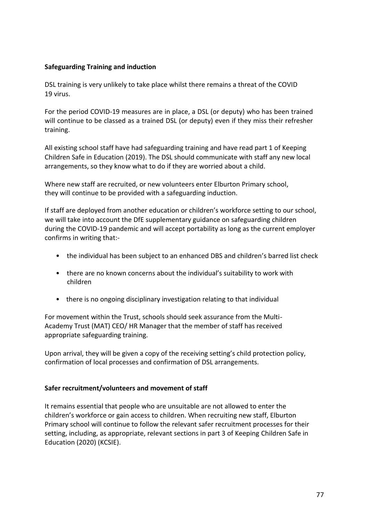## **Safeguarding Training and induction**

DSL training is very unlikely to take place whilst there remains a threat of the COVID 19 virus.

For the period COVID-19 measures are in place, a DSL (or deputy) who has been trained will continue to be classed as a trained DSL (or deputy) even if they miss their refresher training.

All existing school staff have had safeguarding training and have read part 1 of Keeping Children Safe in Education (2019). The DSL should communicate with staff any new local arrangements, so they know what to do if they are worried about a child.

Where new staff are recruited, or new volunteers enter Elburton Primary school, they will continue to be provided with a safeguarding induction.

If staff are deployed from another education or children's workforce setting to our school, we will take into account the DfE supplementary guidance on safeguarding children during the COVID-19 pandemic and will accept portability as long as the current employer confirms in writing that:-

- the individual has been subject to an enhanced DBS and children's barred list check
- there are no known concerns about the individual's suitability to work with children
- there is no ongoing disciplinary investigation relating to that individual

For movement within the Trust, schools should seek assurance from the Multi-Academy Trust (MAT) CEO/ HR Manager that the member of staff has received appropriate safeguarding training.

Upon arrival, they will be given a copy of the receiving setting's child protection policy, confirmation of local processes and confirmation of DSL arrangements.

## **Safer recruitment/volunteers and movement of staff**

It remains essential that people who are unsuitable are not allowed to enter the children's workforce or gain access to children. When recruiting new staff, Elburton Primary school will continue to follow the relevant safer recruitment processes for their setting, including, as appropriate, relevant sections in part 3 of Keeping Children Safe in Education (2020) (KCSIE).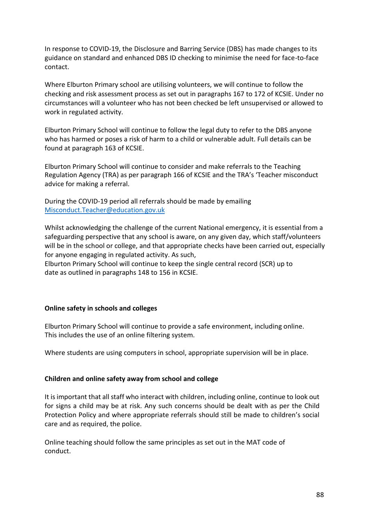In response to COVID-19, the Disclosure and Barring Service (DBS) has made changes to its guidance on standard and enhanced DBS ID checking to minimise the need for face-to-face contact.

Where Elburton Primary school are utilising volunteers, we will continue to follow the checking and risk assessment process as set out in paragraphs 167 to 172 of KCSIE. Under no circumstances will a volunteer who has not been checked be left unsupervised or allowed to work in regulated activity.

Elburton Primary School will continue to follow the legal duty to refer to the DBS anyone who has harmed or poses a risk of harm to a child or vulnerable adult. Full details can be found at paragraph 163 of KCSIE.

Elburton Primary School will continue to consider and make referrals to the Teaching Regulation Agency (TRA) as per paragraph 166 of KCSIE and the TRA's 'Teacher misconduct advice for making a referral.

During the COVID-19 period all referrals should be made by emailing Misconduc[t.Teacher@education.gov.uk](mailto:Teacher@education.gov.uk)

Whilst acknowledging the challenge of the current National emergency, it is essential from a safeguarding perspective that any school is aware, on any given day, which staff/volunteers will be in the school or college, and that appropriate checks have been carried out, especially for anyone engaging in regulated activity. As such,

Elburton Primary School will continue to keep the single central record (SCR) up to date as outlined in paragraphs 148 to 156 in KCSIE.

# **Online safety in schools and colleges**

Elburton Primary School will continue to provide a safe environment, including online. This includes the use of an online filtering system.

Where students are using computers in school, appropriate supervision will be in place.

## **Children and online safety away from school and college**

It is important that all staff who interact with children, including online, continue to look out for signs a child may be at risk. Any such concerns should be dealt with as per the Child Protection Policy and where appropriate referrals should still be made to children's social care and as required, the police.

Online teaching should follow the same principles as set out in the MAT code of conduct.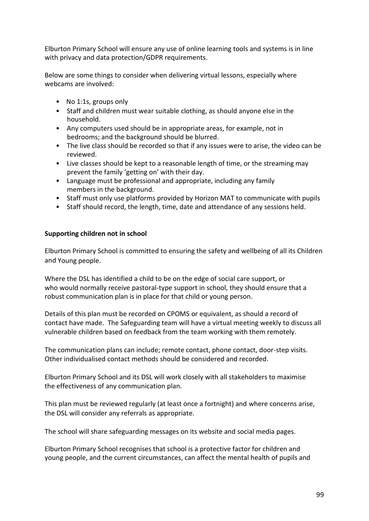Elburton Primary School will ensure any use of online learning tools and systems is in line with privacy and data protection/GDPR requirements.

Below are some things to consider when delivering virtual lessons, especially where webcams are involved:

- No 1:1s, groups only
- Staff and children must wear suitable clothing, as should anyone else in the household.
- Any computers used should be in appropriate areas, for example, not in bedrooms; and the background should be blurred.
- The live class should be recorded so that if any issues were to arise, the video can be reviewed.
- Live classes should be kept to a reasonable length of time, or the streaming may prevent the family 'getting on' with their day.
- Language must be professional and appropriate, including any family members in the background.
- Staff must only use platforms provided by Horizon MAT to communicate with pupils
- Staff should record, the length, time, date and attendance of any sessions held.

## **Supporting children not in school**

Elburton Primary School is committed to ensuring the safety and wellbeing of all its Children and Young people.

Where the DSL has identified a child to be on the edge of social care support, or who would normally receive pastoral-type support in school, they should ensure that a robust communication plan is in place for that child or young person.

Details of this plan must be recorded on CPOMS or equivalent, as should a record of contact have made. The Safeguarding team will have a virtual meeting weekly to discuss all vulnerable children based on feedback from the team working with them remotely.

The communication plans can include; remote contact, phone contact, door-step visits. Other individualised contact methods should be considered and recorded.

Elburton Primary School and its DSL will work closely with all stakeholders to maximise the effectiveness of any communication plan.

This plan must be reviewed regularly (at least once a fortnight) and where concerns arise, the DSL will consider any referrals as appropriate.

The school will share safeguarding messages on its website and social media pages.

Elburton Primary School recognises that school is a protective factor for children and young people, and the current circumstances, can affect the mental health of pupils and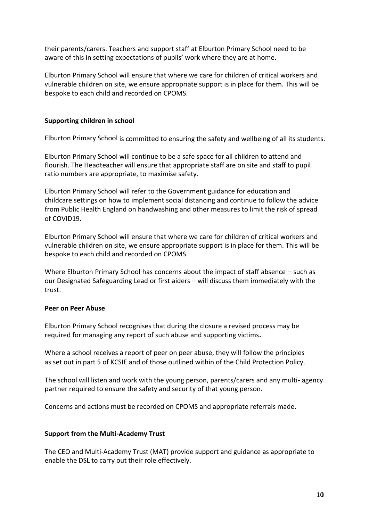their parents/carers. Teachers and support staff at Elburton Primary School need to be aware of this in setting expectations of pupils' work where they are at home.

Elburton Primary School will ensure that where we care for children of critical workers and vulnerable children on site, we ensure appropriate support is in place for them. This will be bespoke to each child and recorded on CPOMS.

## **Supporting children in school**

Elburton Primary School is committed to ensuring the safety and wellbeing of all its students.

Elburton Primary School will continue to be a safe space for all children to attend and flourish. The Headteacher will ensure that appropriate staff are on site and staff to pupil ratio numbers are appropriate, to maximise safety.

Elburton Primary School will refer to the Government guidance for education and childcare settings on how to implement social distancing and continue to follow the advice from Public Health England on handwashing and other measures to limit the risk of spread of COVID19.

Elburton Primary School will ensure that where we care for children of critical workers and vulnerable children on site, we ensure appropriate support is in place for them. This will be bespoke to each child and recorded on CPOMS.

Where Elburton Primary School has concerns about the impact of staff absence – such as our Designated Safeguarding Lead or first aiders – will discuss them immediately with the trust.

## **Peer on Peer Abuse**

Elburton Primary School recognises that during the closure a revised process may be required for managing any report of such abuse and supporting victims**.**

Where a school receives a report of peer on peer abuse, they will follow the principles as set out in part 5 of KCSIE and of those outlined within of the Child Protection Policy.

The school will listen and work with the young person, parents/carers and any multi- agency partner required to ensure the safety and security of that young person.

Concerns and actions must be recorded on CPOMS and appropriate referrals made.

## **Support from the Multi-Academy Trust**

The CEO and Multi-Academy Trust (MAT) provide support and guidance as appropriate to enable the DSL to carry out their role effectively.